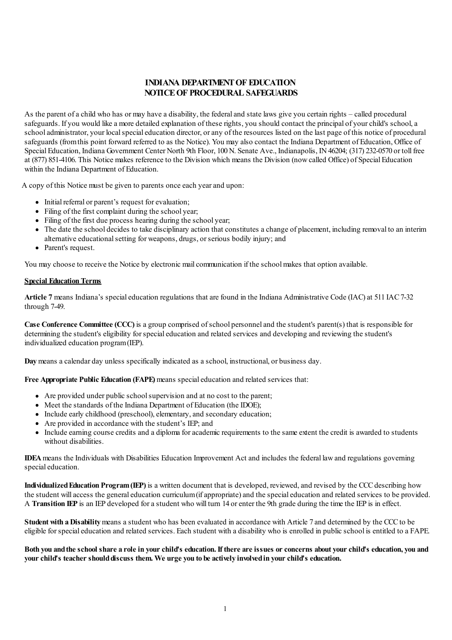# **INDIANA DEPARTMENTOF EDUCATION NOTICEOF PROCEDURAL SAFEGUARDS**

As the parent of a child who has or may have a disability, the federal and state laws give you certain rights – called procedural safeguards. If you would like a more detailed explanation of these rights, you should contact the principal of your child's school, a school administrator, your local special education director, or any of the resources listed on the last page of this notice of procedural safeguards (fromthis point forward referred to as the Notice). You may also contact the Indiana Department of Education, Office of Special Education, Indiana Government Center North 9th Floor, 100N. Senate Ave., Indianapolis, IN46204; (317) 232-0570 or toll free at (877) 851-4106. This Notice makes reference to the Division which means the Division (nowcalled Office) of Special Education within the Indiana Department of Education.

A copy of this Notice must be given to parents once each yearand upon:

- Initial referral or parent's request for evaluation;
- Filing of the first complaint during the school year;
- Filing of the first due process hearing during the school year;
- The date the school decides to take disciplinary action that constitutes a change of placement, including removal to an interim alternative educational setting for weapons, drugs, or serious bodily injury; and
- Parent's request.

You may choose to receive the Notice by electronic mail communication if the school makes that option available.

### **Special Education Terms**

**Article 7** means Indiana's specialeducation regulations that are found in the Indiana Administrative Code (IAC)at 511 IAC7-32 through 7-49.

**Case Conference Committee (CCC)** is a group comprised ofschool personneland the student's parent(s) that is responsible for determining the student's eligibility for special education and related services and developing and reviewing the student's individualized education program(IEP).

**Day**means a calendar day unless specifically indicated as a school, instructional, or business day.

**Free Appropriate Public Education (FAPE)**means specialeducation and related services that:

- Are provided under public schoolsupervision and at no cost to the parent;
- Meet the standards of the Indiana Department of Education (the IDOE);
- $\bullet$  Include early childhood (preschool), elementary, and secondary education;
- Are provided in accordance with the student's IEP; and
- Include earning course credits and a diploma foracademic requirements to the same extent the credit is awarded to students without disabilities.

**IDEA**means the Individuals with Disabilities Education Improvement Act and includes the federal lawand regulations governing special education.

**Individualized Education Program (IEP)** is a written document that is developed, reviewed, and revised by the CCC describing how the student will access the general education curriculum (if appropriate) and the special education and related services to be provided. A **Transition IEP** is an IEP developed fora student who will turn 14 orenter the 9th grade during the time the IEP is in effect.

**Student with a Disability** means a student who has been evaluated in accordance with Article 7 and determined by the CCC to be eligible forspecialeducation and related services. Each student with a disability who is enrolled in public school is entitled to a FAPE.

Both you and the school share a role in your child's education. If there are issues or concerns about your child's education, you and **your child's teacher shoulddiscuss them. We urge you to be actively involvedin your child's education.**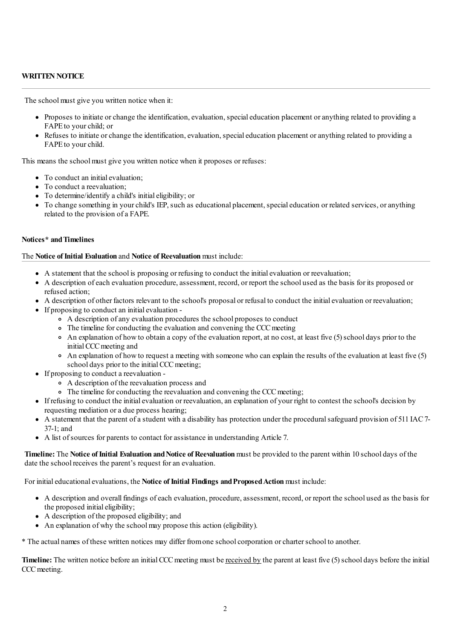## **WRITTEN NOTICE**

The school must give you written notice when it:

- Proposes to initiate or change the identification, evaluation, special education placement or anything related to providing a FAPE to your child; or
- Refuses to initiate or change the identification, evaluation, special education placement or anything related to providing a FAPE to your child.

This means the school must give you written notice when it proposes or refuses:

- To conduct an initial evaluation:
- To conduct a reevaluation;
- To determine/identify a child's initialeligibility; or
- To change something in your child's IEP, such as educational placement, special education or related services, or anything related to the provision ofa FAPE.

## **Notices\* andTimelines**

#### The **Notice ofInitial Evaluation** and **Notice of Reevaluation**must include:

- A statement that the school is proposing or refusing to conduct the initialevaluation or reevaluation;
- A description of each evaluation procedure, assessment, record, or report the school used as the basis for its proposed or refused action;
- A description of other factors relevant to the school's proposal or refusal to conduct the initialevaluation or reevaluation;
- If proposing to conduct an initialevaluation
	- A description ofany evaluation procedures the school proposes to conduct
	- The timeline for conducting the evaluation and convening the CCC meeting
	- $\circ$  An explanation of how to obtain a copy of the evaluation report, at no cost, at least five (5) school days prior to the initial CCC meeting and
	- An explanation of howto request a meeting with someone who can explain the results of the evaluation at least five (5) school days prior to the initial CCC meeting;
- If proposing to conduct a reevaluation
	- A description of the reevaluation process and
	- The timeline for conducting the reevaluation and convening the CCC meeting;
- If refusing to conduct the initialevaluation or reevaluation,an explanation of your right to contest the school's decision by requesting mediation ora due process hearing;
- A statement that the parent ofa student with a disability has protection under the proceduralsafeguard provision of 511 IAC7- 37-1; and
- A list ofsources for parents to contact forassistance in understanding Article 7.

**Timeline:** The **Notice** of Initial Evaluation and Notice of Reevaluation must be provided to the parent within 10 school days of the date the school receives the parent's request foran evaluation.

For initial educational evaluations, the **Notice of Initial Findings and Proposed Action** must include:

- A description and overall findings of each evaluation, procedure, assessment, record, or report the school used as the basis for the proposed initial eligibility;
- A description of the proposed eligibility; and
- An explanation of why the schoolmay propose this action (eligibility).

\* The actual names of these written notices may differ fromone schoolcorporation orcharterschool to another.

**Timeline:** The written notice before an initial CCC meeting must be received by the parent at least five (5) school days before the initial CCC meeting.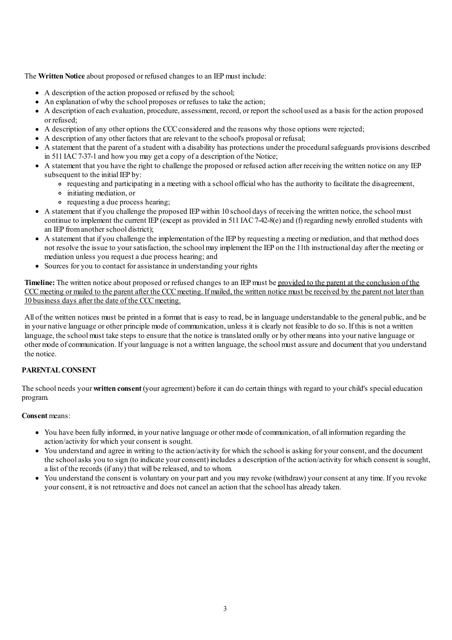The **Written Notice** about proposed or refused changes to an IEPmust include:

- A description of the action proposed or refused by the school;
- An explanation of why the school proposes or refuses to take the action;
- A description of each evaluation, procedure, assessment, record, or report the school used as a basis for the action proposed or refused;
- A description ofany other options the CCCconsidered and the reasons why those options were rejected;
- A description ofany other factors that are relevant to the school's proposal or refusal;
- A statement that the parent ofa student with a disability has protections under the proceduralsafeguards provisions described in 511 IAC7-37-1 and howyou may get a copy ofa description of the Notice;
- A statement that you have the right to challenge the proposed or refused action after receiving the written notice on any IEP subsequent to the initial IEP by:
	- requesting and participating in a meeting with a school officialwho has the authority to facilitate the disagreement,
	- initiating mediation, or
	- requesting a due process hearing;
- A statement that if you challenge the proposed IEP within 10 school days of receiving the written notice, the schoolmust continue to implement the current IEP (except as provided in 511 IAC 7-42-8(e) and (f) regarding newly enrolled students with an IEP from another school district);
- A statement that if you challenge the implementation of the IEP by requesting a meeting ormediation,and that method does not resolve the issue to yoursatisfaction, the schoolmay implement the IEP on the 11th instructional day after the meeting or mediation unless you request a due process hearing; and
- Sources for you to contact for assistance in understanding your rights

**Timeline:** The written notice about proposed or refused changes to an IEP must be provided to the parent at the conclusion of the CCC meeting or mailed to the parent after the CCC meeting. If mailed, the written notice must be received by the parent not later than 10 business days after the date of the CCC meeting.

All of the written notices must be printed in a format that is easy to read, be in language understandable to the general public, and be in your native language or other principle mode ofcommunication, unless it is clearly not feasible to do so. If this is not a written language, the school must take steps to ensure that the notice is translated orally or by other means into your native language or other mode of communication. If your language is not a written language, the school must assure and document that you understand the notice.

## **PARENTALCONSENT**

The school needs your **written consent** (youragreement) before it can do certain things with regard to yourchild's specialeducation program.

## **Consent** means:

- You have been fully informed, in your native language or other mode of communication, of all information regarding the action/activity for which yourconsent is sought.
- You understand and agree in writing to the action/activity for which the school is asking for yourconsent,and the document the schoolasks you to sign (to indicate yourconsent) includes a description of the action/activity for which consent is sought, a list of the records (if any) that will be released, and to whom.
- You understand the consent is voluntary on your part and you may revoke (withdraw) yourconsent at any time. If you revoke yourconsent, it is not retroactive and does not cancelan action that the school has already taken.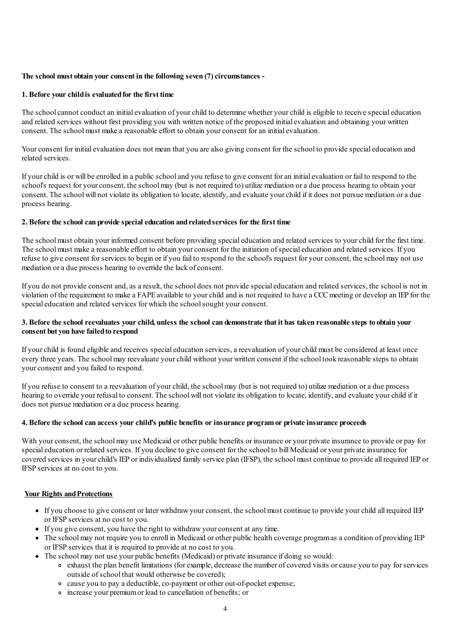## **The school must obtain your consent in the following seven (7)circumstances -**

#### **1. Before your childis evaluatedfor the first time**

The school cannot conduct an initial evaluation of your child to determine whether your child is eligible to receive special education and related services without first providing you with written notice of the proposed initialevaluation and obtaining your written consent. The school must make a reasonable effort to obtain your consent for an initial evaluation.

Your consent for initial evaluation does not mean that you are also giving consent for the school to provide special education and related services.

If yourchild is or will be enrolled in a public schooland you refuse to give consent foran initialevaluation or fail to respond to the school's request for your consent, the school may (but is not required to) utilize mediation or a due process hearing to obtain your consent. The school will not violate its obligation to locate, identify, and evaluate your child if it does not pursue mediation or a due process hearing.

## **2. Before the school can provide special education andrelatedservices for the first time**

The school must obtain your informed consent before providing special education and related services to your child for the first time. The schoolmust make a reasonable effort to obtain yourconsent for the initiation ofspecialeducation and related services. If you refuse to give consent for services to begin or if you fail to respond to the school's request for your consent, the school may not use mediation or a due process hearing to override the lack of consent.

If you do not provide consent and, as a result, the school does not provide special education and related services, the school is not in violation of the requirement to make a FAPE available to your child and is not required to have a CCC meeting or develop an IEP for the special education and related services for which the school sought your consent.

## 3. Before the school reevaluates your child, unless the school can demonstrate that it has taken reasonable steps to obtain your **consent but you have failedto respond**

If your child is found eligible and receives special education services, a reevaluation of your child must be considered at least once every three years. The school may reevaluate your child without your written consent if the school took reasonable steps to obtain your consent and you failed to respond.

If you refuse to consent to a reevaluation of yourchild, the schoolmay (but is not required to) utilize mediation ora due process hearing to override your refusal to consent. The school will not violate its obligation to locate, identify, and evaluate your child if it does not pursue mediation ora due process hearing.

## **4. Before the school can access your child's public benefits or insurance programor private insurance proceeds**

With your consent, the school may use Medicaid or other public benefits or insurance or your private insurance to provide or pay for special education or related services. If you decline to give consent for the school to bill Medicaid or your private insurance for covered services in yourchild's IEP or individualized family service plan (IFSP), the schoolmust continue to provide all required IEP or IFSP services at no cost to you.

#### **Your Rights and Protections**

- If you choose to give consent or later withdraw your consent, the school must continue to provide your child all required IEP or IFSP services at no cost to you.
- If you give consent, you have the right to withdrawyourconsent at any time.
- The school may not require you to enroll in Medicaid or other public health coverage programas a condition of providing IEP or IFSP services that it is required to provide at no cost to you.
- The school may not use your public benefits (Medicaid) or private insurance if doing so would:
	- exhaust the plan benefit limitations (for example, decrease the number of covered visits or cause you to pay for services outside ofschool that would otherwise be covered);
	- cause you to pay a deductible,co-payment or other out-of-pocket expense;
	- increase your premiumor lead to cancellation of benefits; or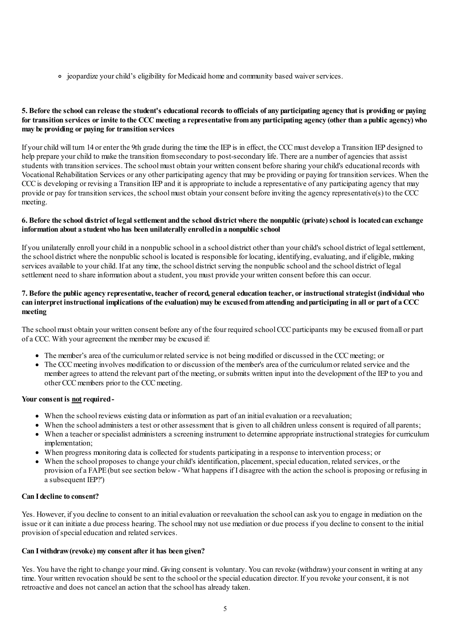jeopardize yourchild's eligibility for Medicaid home and community based waiverservices.

## 5. Before the school can release the student's educational records to officials of any participating agency that is providing or paying for transition services or invite to the CCC meeting a representative from any participating agency (other than a public agency) who **may be providing or paying for transition services**

If yourchild will turn 14 orenter the 9th grade during the time the IEP is in effect, the CCCmust develop a Transition IEP designed to help prepare your child to make the transition from secondary to post-secondary life. There are a number of agencies that assist students with transition services. The schoolmust obtain your written consent before sharing yourchild's educational records with Vocational Rehabilitation Services orany other participating agency that may be providing or paying for transition services. When the CCCis developing or revising a Transition IEP and it is appropriate to include a representative ofany participating agency that may provide or pay for transition services, the schoolmust obtain yourconsent before inviting the agency representative(s) to the CCC meeting.

## 6. Before the school district of legal settlement and the school district where the nonpublic (private) school is located can exchange **information about a student who has been unilaterally enrolledin a nonpublic school**

If you unilaterally enroll yourchild in a nonpublic school in a school district other than yourchild's school district of legalsettlement, the school district where the nonpublic school is located is responsible for locating, identifying, evaluating, and if eligible, making services available to your child. If at any time, the school district serving the nonpublic school and the school district of legal settlement need to share information about a student, you must provide your written consent before this can occur.

## 7. Before the public agency representative, teacher of record, general education teacher, or instructional strategist (individual who can interpret instructional implications of the evaluation) may be excused from attending and participating in all or part of a CCC **meeting**

The school must obtain your written consent before any of the four required school CCC participants may be excused from all or part ofa CCC. With youragreement the membermay be excused if:

- The member's area of the curriculum or related service is not being modified or discussed in the CCC meeting; or
- The CCC meeting involves modification to or discussion of the member's area of the curriculum or related service and the memberagrees to attend the relevant part of the meeting, orsubmits written input into the development of the IEP to you and other CCC members prior to the CCC meeting.

#### Your consent is not required-

- When the school reviews existing data or information as part of an initial evaluation or a reevaluation;
- When the school administers a test or other assessment that is given to all children unless consent is required of all parents;
- When a teacher orspecialist administers a screening instrument to determine appropriate instructionalstrategies forcurriculum implementation;
- When progress monitoring data is collected forstudents participating in a response to intervention process; or
- When the school proposes to change yourchild's identification, placement, specialeducation, related services, or the provision ofa FAPE(but see section below- 'What happens if I disagree with the action the school is proposing or refusing in a subsequent IEP?')

## **Can Idecline to consent?**

Yes. However, if you decline to consent to an initialevaluation or reevaluation the schoolcan ask you to engage in mediation on the issue or it can initiate a due process hearing. The school may not use mediation or due process if you decline to consent to the initial provision of special education and related services.

#### **Can Iwithdraw(revoke) my consent after it has been given?**

Yes. You have the right to change your mind. Giving consent is voluntary. You can revoke (withdraw) your consent in writing at any time. Your written revocation should be sent to the school or the specialeducation director. If you revoke yourconsent, it is not retroactive and does not cancelan action that the school has already taken.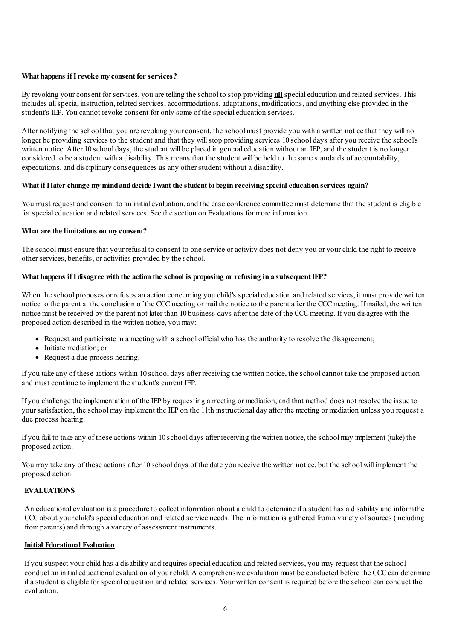## **What happens ifIrevoke my consent for services?**

By revoking your consent for services, you are telling the school to stop providing **all** special education and related services. This includes all special instruction, related services, accommodations, adaptations, modifications, and anything else provided in the student's IEP. You cannot revoke consent for only some of the special education services.

After notifying the school that you are revoking your consent, the school must provide you with a written notice that they will no longer be providing services to the student and that they willstop providing services 10 school days after you receive the school's written notice. After 10 school days, the student will be placed in general education without an IEP, and the student is no longer considered to be a student with a disability. This means that the student will be held to the same standards of accountability, expectations, and disciplinary consequences as any other student without a disability.

## **What ifIlater change my mindanddecide Iwant the student to begin receiving special education services again?**

You must request and consent to an initial evaluation, and the case conference committee must determine that the student is eligible for special education and related services. See the section on Evaluations for more information.

#### **What are the limitations on my consent?**

The schoolmust ensure that your refusal to consent to one service oractivity does not deny you or yourchild the right to receive other services, benefits, or activities provided by the school.

## **What happens ifIdisagree with the action the school is proposing or refusing in a subsequentIEP?**

When the school proposes or refuses an action concerning you child's special education and related services, it must provide written notice to the parent at the conclusion of the CCC meeting or mail the notice to the parent after the CCC meeting. If mailed, the written notice must be received by the parent not later than 10 business days after the date of the CCC meeting. If you disagree with the proposed action described in the written notice, you may:

- Request and participate in a meeting with a school officialwho has the authority to resolve the disagreement;
- Initiate mediation: or
- Request a due process hearing.

If you take any of these actions within 10 school days after receiving the written notice, the schoolcannot take the proposed action and must continue to implement the student's current IEP.

If you challenge the implementation of the IEP by requesting a meeting ormediation,and that method does not resolve the issue to your satisfaction, the school may implement the IEP on the 11th instructional day after the meeting or mediation unless you request a due process hearing.

If you fail to take any of these actions within 10 school days after receiving the written notice, the schoolmay implement (take) the proposed action.

You may take any of these actions after 10 school days of the date you receive the written notice, but the school will implement the proposed action.

## **EVALUATIONS**

An educationalevaluation is a procedure to collect information about a child to determine ifa student has a disability and informthe CCC about your child's special education and related service needs. The information is gathered from a variety of sources (including from parents) and through a variety of assessment instruments.

#### **Initial Educational Evaluation**

If you suspect your child has a disability and requires special education and related services, you may request that the school conduct an initial educational evaluation of your child. A comprehensive evaluation must be conducted before the CCC can determine ifa student is eligible forspecialeducation and related services. Your written consent is required before the schoolcan conduct the evaluation.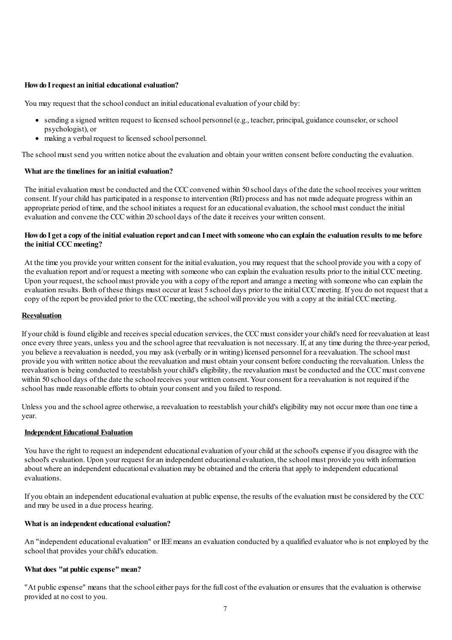#### **Howdo Irequest an initial educational evaluation?**

You may request that the school conduct an initial educational evaluation of your child by:

- sending a signed written request to licensed school personnel (e.g., teacher, principal, guidance counselor, orschool psychologist), or
- making a verbal request to licensed school personnel.

The schoolmust send you written notice about the evaluation and obtain your written consent before conducting the evaluation.

#### **What are the timelines for an initial evaluation?**

The initial evaluation must be conducted and the CCC convened within 50 school days of the date the school receives your written consent. If your child has participated in a response to intervention (RtI) process and has not made adequate progress within an appropriate period of time, and the school initiates a request for an educational evaluation, the school must conduct the initial evaluation and convene the CCCwithin 20 school days of the date it receives your written consent.

## How do I get a copy of the initial evaluation report and can I meet with someone who can explain the evaluation results to me before **the initial CCC meeting?**

At the time you provide your written consent for the initialevaluation, you may request that the school provide you with a copy of the evaluation report and/or request a meeting with someone who can explain the evaluation results prior to the initial CCCmeeting. Upon your request, the schoolmust provide you with a copy of the report and arrange a meeting with someone who can explain the evaluation results. Both of these things must occur at least 5 school days prior to the initial CCC meeting. If you do not request that a copy of the report be provided prior to the CCC meeting, the school will provide you with a copy at the initial CCC meeting.

#### **Reevaluation**

If yourchild is found eligible and receives specialeducation services, the CCCmust consider yourchild's need for reevaluation at least once every three years, unless you and the school agree that reevaluation is not necessary. If, at any time during the three-year period, you believe a reevaluation is needed, you may ask (verbally or in writing) licensed personnel fora reevaluation. The schoolmust provide you with written notice about the reevaluation and must obtain yourconsent before conducting the reevaluation. Unless the reevaluation is being conducted to reestablish yourchild's eligibility, the reevaluation must be conducted and the CCCmust convene within 50 school days of the date the school receives your written consent. Your consent for a reevaluation is not required if the school has made reasonable efforts to obtain yourconsent and you failed to respond.

Unless you and the school agree otherwise, a reevaluation to reestablish your child's eligibility may not occur more than one time a year.

#### **Independent Educational Evaluation**

You have the right to request an independent educational evaluation of your child at the school's expense if you disagree with the school's evaluation. Upon your request foran independent educationalevaluation, the schoolmust provide you with information about where an independent educational evaluation may be obtained and the criteria that apply to independent educational evaluations.

If you obtain an independent educationalevaluation at public expense, the results of the evaluation must be considered by the CCC and may be used in a due process hearing.

#### **What** is an independent educational evaluation?

An "independent educationalevaluation" or IEEmeans an evaluation conducted by a qualified evaluator who is not employed by the school that provides your child's education.

#### **What does "at public expense" mean?**

"At public expense" means that the schooleither pays for the fullcost of the evaluation orensures that the evaluation is otherwise provided at no cost to you.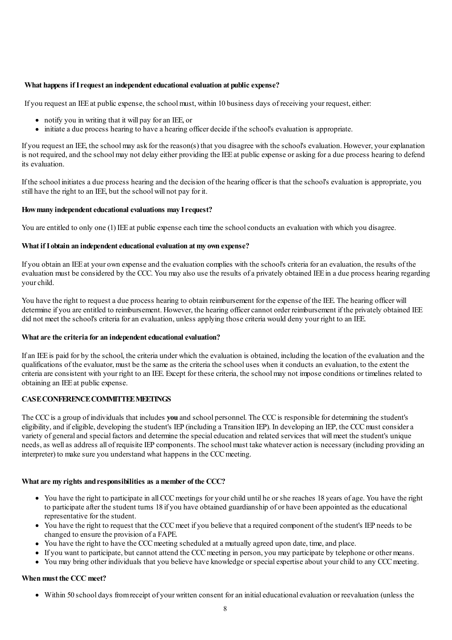#### **What happens ifIrequest an independenteducational evaluation at public expense?**

If you request an IEEat public expense, the schoolmust, within 10 business days of receiving your request,either:

- notify you in writing that it will pay foran IEE, or
- initiate a due process hearing to have a hearing officer decide if the school's evaluation is appropriate.

If you request an IEE, the school may ask for the reason(s) that you disagree with the school's evaluation. However, your explanation is not required, and the school may not delay either providing the IEE at public expense or asking for a due process hearing to defend its evaluation.

If the school initiates a due process hearing and the decision of the hearing officer is that the school's evaluation is appropriate, you still have the right to an IEE, but the schoolwill not pay for it.

#### **Howmany independenteducational evaluations may Irequest?**

You are entitled to only one (1) IEE at public expense each time the school conducts an evaluation with which you disagree.

## **What ifI obtain an independenteducational evaluation at my own expense?**

If you obtain an IEEat your own expense and the evaluation complies with the school's criteria foran evaluation, the results of the evaluation must be considered by the CCC. You may also use the results ofa privately obtained IEEin a due process hearing regarding yourchild.

You have the right to request a due process hearing to obtain reimbursement for the expense of the IEE. The hearing officer will determine if you are entitled to reimbursement. However, the hearing officer cannot order reimbursement if the privately obtained IEE did not meet the school's criteria for an evaluation, unless applying those criteria would deny your right to an IEE.

#### **What are the criteria for an independenteducational evaluation?**

Ifan IEEis paid for by the school, the criteria under which the evaluation is obtained, including the location of the evaluation and the qualifications of the evaluator, must be the same as the criteria the school uses when it conducts an evaluation, to the extent the criteria are consistent with your right to an IEE. Except for these criteria, the schoolmay not impose conditions or timelines related to obtaining an IEEat public expense.

#### **CASECONFERENCECOMMITTEEMEETINGS**

The CCCis a group of individuals that includes **you** and school personnel. The CCCis responsible for determining the student's eligibility,and ifeligible, developing the student's IEP (including a Transition IEP). In developing an IEP, the CCCmust considera variety of generaland special factors and determine the specialeducation and related services that willmeet the student's unique needs, as well as address all of requisite IEP components. The school must take whatever action is necessary (including providing an interpreter) to make sure you understand what happens in the CCC meeting.

#### **What are my rights andresponsibilities as a member of the CCC?**

- You have the right to participate in all CCC meetings for your child until he or she reaches 18 years of age. You have the right to participate after the student turns 18 if you have obtained guardianship of or have been appointed as the educational representative for the student.
- You have the right to request that the CCC meet if you believe that a required component of the student's IEP needs to be changed to ensure the provision ofa FAPE.
- You have the right to have the CCC meeting scheduled at a mutually agreed upon date, time, and place.
- If you want to participate, but cannot attend the CCCmeeting in person, you may participate by telephone or othermeans.
- You may bring other individuals that you believe have knowledge orspecialexpertise about yourchild to any CCCmeeting.

#### **When must the CCC meet?**

Within 50 school days fromreceipt of your written consent foran initialeducationalevaluation or reevaluation (unless the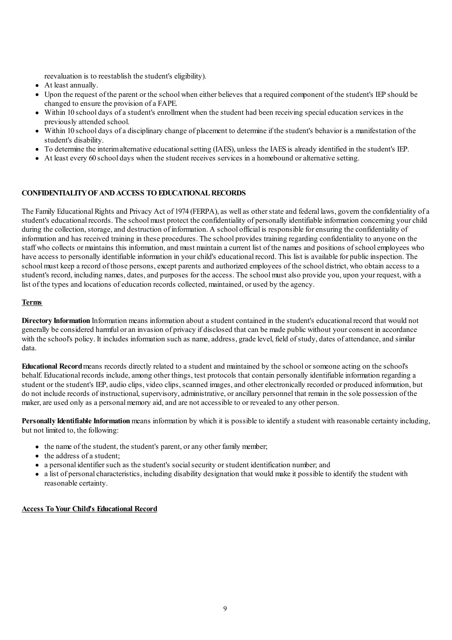reevaluation is to reestablish the student's eligibility).

- At least annually.
- Upon the request of the parent or the schoolwhen either believes that a required component of the student's IEP should be changed to ensure the provision ofa FAPE.
- Within 10 school days ofa student's enrollment when the student had been receiving specialeducation services in the previously attended school.
- Within 10 school days ofa disciplinary change of placement to determine if the student's behavior is a manifestation of the student's disability.
- To determine the interimalternative educationalsetting (IAES), unless the IAES is already identified in the student's IEP.
- At least every 60 school days when the student receives services in a homebound oralternative setting.

## **CONFIDENTIALITYOFANDACCESS TOEDUCATIONALRECORDS**

The Family Educational Rights and Privacy Act of 1974 (FERPA), as well as other state and federal laws, govern the confidentiality of a student's educational records. The school must protect the confidentiality of personally identifiable information concerning your child during the collection, storage, and destruction of information. A school official is responsible for ensuring the confidentiality of information and has received training in these procedures. The school provides training regarding confidentiality to anyone on the staff who collects or maintains this information, and must maintain a current list of the names and positions of school employees who have access to personally identifiable information in yourchild's educational record. This list is available for public inspection. The school must keep a record of those persons, except parents and authorized employees of the school district, who obtain access to a student's record, including names, dates, and purposes for the access. The school must also provide you, upon your request, with a list of the types and locations of education records collected, maintained, or used by the agency.

## **Terms**

**Directory Information** Information means information about a student contained in the student's educational record that would not generally be considered harmful oran invasion of privacy if disclosed that can be made public without yourconsent in accordance with the school's policy. It includes information such as name, address, grade level, field of study, dates of attendance, and similar data.

**Educational Record**means records directly related to a student and maintained by the school orsomeone acting on the school's behalf. Educational records include, among other things, test protocols that contain personally identifiable information regarding a student or the student's IEP, audio clips, video clips, scanned images, and other electronically recorded or produced information, but do not include records of instructional, supervisory, administrative, or ancillary personnel that remain in the sole possession of the maker, are used only as a personal memory aid, and are not accessible to or revealed to any other person.

**Personally Identifiable Information** means information by which it is possible to identify a student with reasonable certainty including, but not limited to, the following:

- the name of the student, the student's parent, or any other family member;
- the address of a student;
- a personal identifier such as the student's social security or student identification number; and
- a list of personal characteristics, including disability designation that would make it possible to identify the student with reasonable certainty.

## **Access ToYour Child's Educational Record**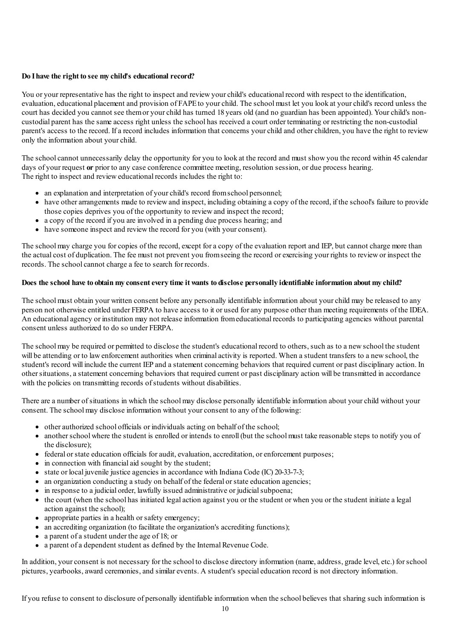## **Do Ihave the right to see my child's educational record?**

You or your representative has the right to inspect and review your child's educational record with respect to the identification, evaluation,educational placement and provision of FAPEto yourchild. The schoolmust let you look at yourchild's record unless the court has decided you cannot see themor yourchild has turned 18 years old (and no guardian has been appointed). Yourchild's noncustodial parent has the same access right unless the school has received a court order terminating or restricting the non-custodial parent's access to the record. Ifa record includes information that concerns yourchild and otherchildren, you have the right to review only the information about yourchild.

The schoolcannot unnecessarily delay the opportunity for you to look at the record and must showyou the record within 45 calendar days of your request **or** prior to any case conference committee meeting, resolution session, or due process hearing. The right to inspect and revieweducational records includes the right to:

- an explanation and interpretation of your child's record from school personnel;
- have other arrangements made to review and inspect, including obtaining a copy of the record, if the school's failure to provide those copies deprives you of the opportunity to reviewand inspect the record;
- a copy of the record if you are involved in a pending due process hearing; and
- have someone inspect and reviewthe record for you (with yourconsent).

The school may charge you for copies of the record, except for a copy of the evaluation report and IEP, but cannot charge more than the actual cost of duplication. The fee must not prevent you from seeing the record or exercising your rights to review or inspect the records. The school cannot charge a fee to search for records.

### Does the school have to obtain my consent every time it wants to disclose personally identifiable information about my child?

The schoolmust obtain your written consent before any personally identifiable information about yourchild may be released to any person not otherwise entitled under FERPA to have access to it or used forany purpose other than meeting requirements of the IDEA. An educationalagency or institution may not release information fromeducational records to participating agencies without parental consent unless authorized to do so under FERPA.

The schoolmay be required or permitted to disclose the student's educational record to others, such as to a newschool the student will be attending or to lawenforcement authorities when criminalactivity is reported. When a student transfers to a newschool, the student's record will include the current IEP and a statement concerning behaviors that required current or past disciplinary action. In othersituations,a statement concerning behaviors that required current or past disciplinary action will be transmitted in accordance with the policies on transmitting records of students without disabilities.

There are a number of situations in which the school may disclose personally identifiable information about your child without your consent. The school may disclose information without your consent to any of the following:

- $\bullet$  other authorized school officials or individuals acting on behalf of the school;
- another school where the student is enrolled or intends to enroll (but the school must take reasonable steps to notify you of the disclosure);
- federal or state education officials for audit, evaluation, accreditation, or enforcement purposes;
- in connection with financial aid sought by the student;
- state or local juvenile justice agencies in accordance with Indiana Code (IC) 20-33-7-3;
- an organization conducting a study on behalf of the federal or state education agencies;
- in response to a judicial order, lawfully issued administrative or judicial subpoena;
- the court (when the school has initiated legalaction against you or the student or when you or the student initiate a legal action against the school);
- appropriate parties in a health or safety emergency;
- an accrediting organization (to facilitate the organization's accrediting functions);
- a parent of a student under the age of 18; or
- a parent of a dependent student as defined by the Internal Revenue Code.

In addition, your consent is not necessary for the school to disclose directory information (name, address, grade level, etc.) for school pictures, vearbooks, award ceremonies, and similar events. A student's special education record is not directory information.

If you refuse to consent to disclosure of personally identifiable information when the school believes that sharing such information is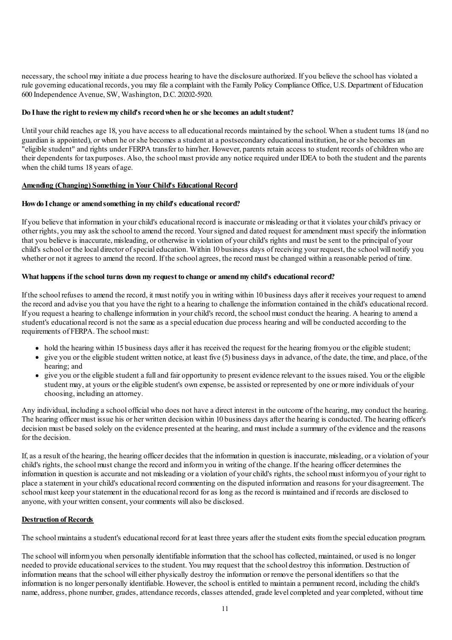necessary, the schoolmay initiate a due process hearing to have the disclosure authorized. If you believe the school has violated a rule governing educational records, you may file a complaint with the Family Policy Compliance Office, U.S. Department of Education 600 Independence Avenue, SW, Washington, D.C. 20202-5920.

#### **Do Ihave the right to reviewmy child's recordwhen he or she becomes an adultstudent?**

Until your child reaches age 18, you have access to all educational records maintained by the school. When a student turns 18 (and no guardian is appointed), or when he orshe becomes a student at a postsecondary educational institution, he orshe becomes an "eligible student" and rights under FERPA transfer to him/her. However, parents retain access to student records ofchildren who are their dependents for taxpurposes. Also, the schoolmust provide any notice required under IDEA to both the student and the parents when the child turns 18 years of age.

## **Amending (Changing) Something in Your Child's Educational Record**

## **Howdo Ichange or amendsomething in my child's educational record?**

If you believe that information in yourchild's educational record is inaccurate ormisleading or that it violates yourchild's privacy or other rights, you may ask the school to amend the record. Yoursigned and dated request foramendment must specify the information that you believe is inaccurate, misleading, or otherwise in violation of yourchild's rights and must be sent to the principal of your child's school or the local director of special education. Within 10 business days of receiving your request, the school will notify you whether or not it agrees to amend the record. If the school agrees, the record must be changed within a reasonable period of time.

## **What happens if the school turns down my request to change or amendmy child's educational record?**

If the school refuses to amend the record, it must notify you in writing within 10 business days after it receives your request to amend the record and advise you that you have the right to a hearing to challenge the information contained in the child's educational record. If you request a hearing to challenge information in yourchild's record, the schoolmust conduct the hearing. A hearing to amend a student's educational record is not the same as a specialeducation due process hearing and will be conducted according to the requirements of FERPA. The school must:

- hold the hearing within 15 business days after it has received the request for the hearing from you or the eligible student;
- $\bullet$  give you or the eligible student written notice, at least five (5) business days in advance, of the date, the time, and place, of the hearing; and
- give you or the eligible student a fulland fair opportunity to present evidence relevant to the issues raised. You or the eligible student may, at yours or the eligible student's own expense, be assisted or represented by one or more individuals of your choosing, including an attorney.

Any individual, including a school officialwho does not have a direct interest in the outcome of the hearing, may conduct the hearing. The hearing officer must issue his or her written decision within 10 business days after the hearing is conducted. The hearing officer's decision must be based solely on the evidence presented at the hearing, and must include a summary of the evidence and the reasons for the decision.

If,as a result of the hearing, the hearing officer decides that the information in question is inaccurate, misleading, ora violation of your child's rights, the schoolmust change the record and informyou in writing of the change. If the hearing officer determines the information in question is accurate and not misleading ora violation of yourchild's rights, the schoolmust informyou of your right to place a statement in yourchild's educational record commenting on the disputed information and reasons for your disagreement. The schoolmust keep yourstatement in the educational record foras long as the record is maintained and if records are disclosed to anyone, with your written consent, yourcomments willalso be disclosed.

#### **Destruction of Records**

The schoolmaintains a student's educational record forat least three years after the student exits fromthe specialeducation program.

The schoolwill informyou when personally identifiable information that the school has collected, maintained, or used is no longer needed to provide educationalservices to the student. You may request that the school destroy this information. Destruction of information means that the schoolwilleither physically destroy the information or remove the personal identifiers so that the information is no longer personally identifiable. However, the school is entitled to maintain a permanent record, including the child's name, address, phone number, grades, attendance records, classes attended, grade level completed and year completed, without time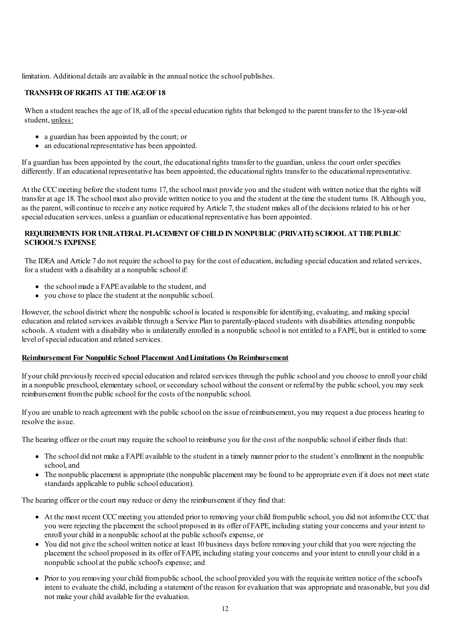limitation. Additional details are available in the annual notice the school publishes.

## **TRANSFEROFRIGHTS ATTHEAGEOF18**

When a student reaches the age of 18, all of the special education rights that belonged to the parent transfer to the 18-year-old student, unless:

- a guardian has been appointed by the court; or
- an educational representative has been appointed.

Ifa guardian has been appointed by the court, the educational rights transfer to the guardian, unless the court orderspecifies differently. If an educational representative has been appointed, the educational rights transfer to the educational representative.

At the CCC meeting before the student turns 17, the school must provide you and the student with written notice that the rights will transferat age 18. The schoolmust also provide written notice to you and the student at the time the student turns 18. Although you, as the parent, will continue to receive any notice required by Article 7, the student makes all of the decisions related to his or her special education services, unless a guardian or educational representative has been appointed.

## **REQUIREMENTS FORUNILATERALPLACEMENTOFCHILDINNONPUBLIC(PRIVATE) SCHOOLATTHEPUBLIC SCHOOL'S EXPENSE**

The IDEA and Article 7 do not require the school to pay for the cost ofeducation, including specialeducation and related services, fora student with a disability at a nonpublic school if:

- the school made a FAPE available to the student, and
- you chose to place the student at the nonpublic school.

However, the school district where the nonpublic school is located is responsible for identifying, evaluating, and making special education and related services available through a Service Plan to parentally-placed students with disabilities attending nonpublic schools. A student with a disability who is unilaterally enrolled in a nonpublic school is not entitled to a FAPE, but is entitled to some level of special education and related services.

#### **Reimbursement For Nonpublic School Placement AndLimitations On Reimbursement**

If yourchild previously received specialeducation and related services through the public schooland you choose to enroll yourchild in a nonpublic preschool, elementary school, or secondary school without the consent or referral by the public school, you may seek reimbursement fromthe public school for the costs of the nonpublic school.

If you are unable to reach agreement with the public school on the issue of reimbursement, you may request a due process hearing to resolve the issue.

The hearing officer or the court may require the school to reimburse you for the cost of the nonpublic school ifeither finds that:

- The school did not make a FAPE available to the student in a timely manner prior to the student's enrollment in the nonpublic school,and
- The nonpublic placement is appropriate (the nonpublic placement may be found to be appropriate even if it does not meet state standards applicable to public schooleducation).

The hearing officer or the court may reduce or deny the reimbursement if they find that:

- At the most recent CCCmeeting you attended prior to removing yourchild frompublic school, you did not informthe CCCthat you were rejecting the placement the school proposed in its offer of FAPE, including stating yourconcerns and your intent to enroll your child in a nonpublic school at the public school's expense, or
- You did not give the school written notice at least 10 business days before removing your child that you were rejecting the placement the school proposed in its offer of FAPE, including stating yourconcerns and your intent to enroll yourchild in a nonpublic schoolat the public school's expense; and
- Prior to you removing yourchild frompublic school, the school provided you with the requisite written notice of the school's intent to evaluate the child, including a statement of the reason forevaluation that was appropriate and reasonable, but you did not make yourchild available for the evaluation.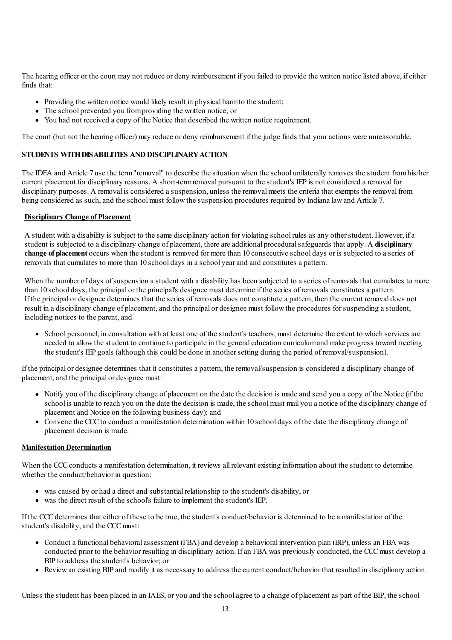The hearing officer or the court may not reduce or deny reimbursement if you failed to provide the written notice listed above, ifeither finds that:

- Providing the written notice would likely result in physical harm to the student;
- The school prevented you from providing the written notice; or
- You had not received a copy of the Notice that described the written notice requirement.

The court (but not the hearing officer) may reduce or deny reimbursement if the judge finds that your actions were unreasonable.

## **STUDENTS WITHDISABILITIES ANDDISCIPLINARYACTION**

The IDEA and Article 7 use the term"removal" to describe the situation when the school unilaterally removes the student fromhis/her current placement for disciplinary reasons. A short-termremoval pursuant to the student's IEP is not considered a removal for disciplinary purposes. A removal is considered a suspension, unless the removal meets the criteria that exempts the removal from being considered as such, and the school must follow the suspension procedures required by Indiana law and Article 7.

## **DisciplinaryChange of Placement**

A student with a disability is subject to the same disciplinary action for violating school rules as any otherstudent. However, ifa student is subjected to a disciplinary change of placement, there are additional proceduralsafeguards that apply. A **disciplinary change of placement** occurs when the student is removed formore than 10 consecutive school days or is subjected to a series of removals that cumulates to more than 10 school days in a school yearand and constitutes a pattern.

When the number of days of suspension a student with a disability has been subjected to a series of removals that cumulates to more than 10 school days, the principal or the principal's designee must determine if the series of removals constitutes a pattern. If the principal or designee determines that the series of removals does not constitute a pattern, then the current removal does not result in a disciplinary change of placement, and the principal or designee must follow the procedures for suspending a student, including notices to the parent, and

School personnel, in consultation with at least one of the student's teachers, must determine the extent to which services are needed to allow the student to continue to participate in the general education curriculumand make progress toward meeting the student's IEP goals (although this could be done in anothersetting during the period of removal/suspension).

If the principal or designee determines that it constitutes a pattern, the removal/suspension is considered a disciplinary change of placement, and the principal or designee must:

- Notify you of the disciplinary change of placement on the date the decision is made and send you a copy of the Notice (if the school is unable to reach you on the date the decision is made, the schoolmust mail you a notice of the disciplinary change of placement and Notice on the following business day); and
- Convene the CCC to conduct a manifestation determination within 10 school days of the date the disciplinary change of placement decision is made.

## **Manifestation Determination**

When the CCC conducts a manifestation determination, it reviews all relevant existing information about the student to determine whether the conduct/behavior in question:

- was caused by or had a direct and substantial relationship to the student's disability, or
- was the direct result of the school's failure to implement the student's IEP.

If the CCCdetermines that either of these to be true, the student's conduct/behavior is determined to be a manifestation of the student's disability, and the CCC must:

- Conduct a functional behavioral assessment (FBA) and develop a behavioral intervention plan (BIP), unless an FBA was conducted prior to the behavior resulting in disciplinary action. If an FBA was previously conducted, the CCC must develop a BIP to address the student's behavior; or
- Reviewan existing BIP and modify it as necessary to address the current conduct/behavior that resulted in disciplinary action.

Unless the student has been placed in an IAES, or you and the school agree to a change of placement as part of the BIP, the school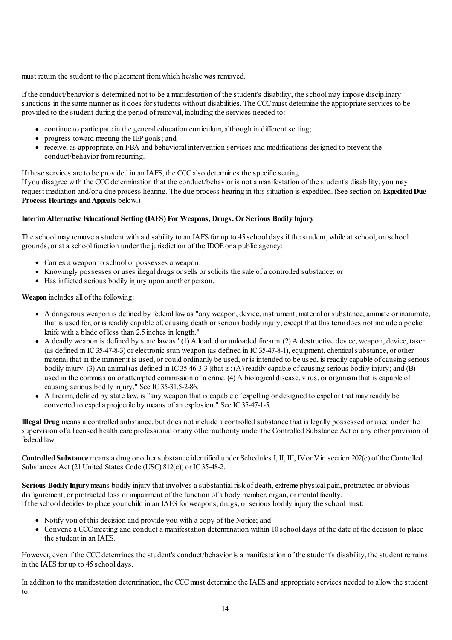must return the student to the placement fromwhich he/she was removed.

If the conduct/behavior is determined not to be a manifestation of the student's disability, the schoolmay impose disciplinary sanctions in the same manner as it does for students without disabilities. The CCC must determine the appropriate services to be provided to the student during the period of removal, including the services needed to:

- continue to participate in the general education curriculum, although in different setting;
- progress toward meeting the IEP goals; and
- receive, as appropriate, an FBA and behavioral intervention services and modifications designed to prevent the conduct/behavior fromrecurring.

If these services are to be provided in an IAES, the CCCalso determines the specific setting.

If you disagree with the CCCdetermination that the conduct/behavior is not a manifestation of the student's disability, you may request mediation and/ora due process hearing. The due process hearing in this situation is expedited. (See section on **ExpeditedDue Process Hearings andAppeals** below.)

## **InterimAlternative Educational Setting (IAES) For Weapons, Drugs, Or Serious Bodily Injury**

The schoolmay remove a student with a disability to an IAES for up to 45 school days if the student, while at school, on school grounds, orat a school function under the jurisdiction of the IDOEora public agency:

- Carries a weapon to school or possesses a weapon;
- Knowingly possesses or uses illegal drugs or sells or solicits the sale of a controlled substance; or
- Has inflicted serious bodily injury upon another person.

**Weapon** includes all of the following:

- A dangerous weapon is defined by federal lawas "any weapon, device, instrument, material orsubstance,animate or inanimate, that is used for, or is readily capable of,causing death orserious bodily injury,except that this termdoes not include a pocket knife with a blade of less than 2.5 inches in length."
- $\bullet$  A deadly weapon is defined by state law as "(1) A loaded or unloaded firearm. (2) A destructive device, weapon, device, taser (as defined in IC 35-47-8-3) or electronic stun weapon (as defined in IC 35-47-8-1), equipment, chemical substance, or other material that in the manner it is used, orcould ordinarily be used, or is intended to be used, is readily capable ofcausing serious bodily injury. (3) An animal (as defined in IC35-46-3-3) that is: (A) readily capable of causing serious bodily injury; and (B) used in the commission or attempted commission of a crime. (4) A biological disease, virus, or organism that is capable of causing serious bodily injury." See IC35-31.5-2-86.
- A firearm, defined by state law, is "any weapon that is capable ofexpelling or designed to expel or that may readily be converted to expel a projectile by means of an explosion." See IC35-47-1-5.

**Illegal Drug** means a controlled substance, but does not include a controlled substance that is legally possessed or used under the supervision of a licensed health care professional or any other authority under the Controlled Substance Act or any other provision of federal law.

**Controlled Substance** means a drug or other substance identified under Schedules I, II, III, IV or V in section 202(c) of the Controlled Substances Act (21 United States Code (USC) 812(c)) or IC 35-48-2.

**Serious Bodily Injury** means bodily injury that involves a substantial risk of death, extreme physical pain, protracted or obvious disfigurement, or protracted loss or impairment of the function of a body member, organ, or mental faculty. If the school decides to place yourchild in an IAES for weapons, drugs, orserious bodily injury the schoolmust:

- Notify you of this decision and provide you with a copy of the Notice; and
- Convene a CCCmeeting and conduct a manifestation determination within 10 school days of the date of the decision to place the student in an IAES.

However, even if the CCC determines the student's conduct/behavior is a manifestation of the student's disability, the student remains in the IAES for up to 45 school days.

In addition to the manifestation determination, the CCC must determine the IAES and appropriate services needed to allow the student to: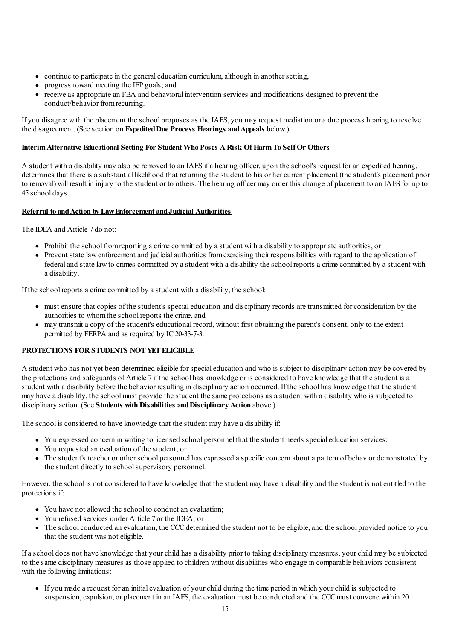- continue to participate in the general education curriculum, although in another setting,
- progress toward meeting the IEP goals; and
- receive as appropriate an FBA and behavioral intervention services and modifications designed to prevent the conduct/behavior fromrecurring.

If you disagree with the placement the school proposes as the IAES, you may request mediation ora due process hearing to resolve the disagreement. (See section on **ExpeditedDue Process Hearings andAppeals** below.)

## **InterimAlternative Educational Setting For Student Who Poses ARisk OfHarmTo SelfOr Others**

A student with a disability may also be removed to an IAES ifa hearing officer, upon the school's request foran expedited hearing, determines that there is a substantial likelihood that returning the student to his or her current placement (the student's placement prior to removal) will result in injury to the student or to others. The hearing officer may order this change of placement to an IAES for up to 45 school days.

## **Referral to andAction by LawEnforcement andJudicial Authorities**

The IDEA and Article 7 do not:

- Prohibit the school fromreporting a crime committed by a student with a disability to appropriate authorities, or
- Prevent state lawenforcement and judicialauthorities fromexercising their responsibilities with regard to the application of federaland state lawto crimes committed by a student with a disability the school reports a crime committed by a student with a disability.

If the school reports a crime committed by a student with a disability, the school:

- must ensure that copies of the student's specialeducation and disciplinary records are transmitted forconsideration by the authorities to whom the school reports the crime, and
- may transmit a copy of the student's educational record, without first obtaining the parent's consent, only to the extent permitted by FERPA and as required by IC20-33-7-3.

## **PROTECTIONS FOR STUDENTS NOT YET ELIGIBLE**

A student who has not yet been determined eligible forspecialeducation and who is subject to disciplinary action may be covered by the protections and safeguards of Article 7 if the school has knowledge or is considered to have knowledge that the student is a student with a disability before the behavior resulting in disciplinary action occurred. If the school has knowledge that the student may have a disability, the schoolmust provide the student the same protections as a student with a disability who is subjected to disciplinary action. (See **Students with Disabilities andDisciplinaryAction** above.)

The school is considered to have knowledge that the student may have a disability if:

- You expressed concern in writing to licensed school personnel that the student needs special education services;
- You requested an evaluation of the student; or
- The student's teacher or other school personnel has expressed a specific concern about a pattern of behavior demonstrated by the student directly to schoolsupervisory personnel.

However, the school is not considered to have knowledge that the student may have a disability and the student is not entitled to the protections if:

- You have not allowed the school to conduct an evaluation:
- You refused services under Article 7 or the IDEA; or
- The school conducted an evaluation, the CCC determined the student not to be eligible, and the school provided notice to you that the student was not eligible.

Ifa school does not have knowledge that yourchild has a disability prior to taking disciplinary measures, yourchild may be subjected to the same disciplinary measures as those applied to children without disabilities who engage in comparable behaviors consistent with the following limitations:

If you made a request foran initialevaluation of yourchild during the time period in which yourchild is subjected to suspension, expulsion, or placement in an IAES, the evaluation must be conducted and the CCC must convene within 20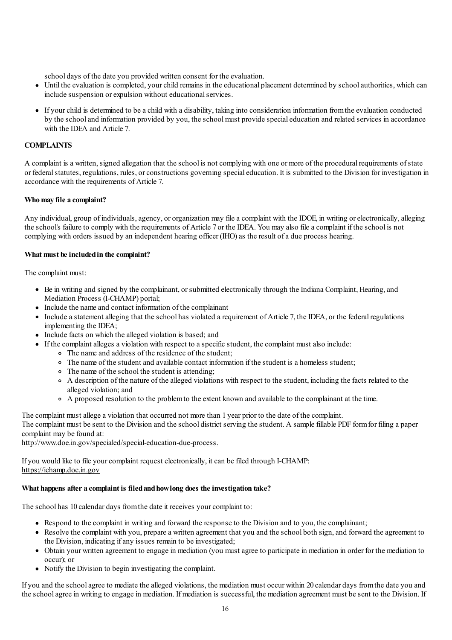school days of the date you provided written consent for the evaluation.

- Until the evaluation is completed, your child remains in the educational placement determined by school authorities, which can  $\bullet$ include suspension or expulsion without educational services.
- If yourchild is determined to be a child with a disability, taking into consideration information fromthe evaluation conducted by the school and information provided by you, the school must provide special education and related services in accordance with the IDEA and Article 7.

## **COMPLAINTS**

A complaint is a written, signed allegation that the school is not complying with one ormore of the procedural requirements ofstate or federalstatutes, regulations, rules, orconstructions governing specialeducation. It is submitted to the Division for investigation in accordance with the requirements of Article 7.

## **Who may file a complaint?**

Any individual, group of individuals, agency, or organization may file a complaint with the IDOE, in writing or electronically, alleging the school's failure to comply with the requirements of Article 7 or the IDEA. You may also file a complaint if the school is not complying with orders issued by an independent hearing officer (IHO) as the result of a due process hearing.

## **What must be includedin the complaint?**

The complaint must:

- Be in writing and signed by the complainant, orsubmitted electronically through the Indiana Complaint, Hearing,and Mediation Process (I-CHAMP) portal;
- Include the name and contact information of the complainant
- Include a statement alleging that the school has violated a requirement of Article 7, the IDEA, or the federal regulations implementing the IDEA;
- Include facts on which the alleged violation is based; and
- If the complaint alleges a violation with respect to a specific student, the complaint must also include:
	- The name and address of the residence of the student;
	- The name of the student and available contact information if the student is a homeless student;
	- The name of the school the student is attending:
	- A description of the nature of the alleged violations with respect to the student, including the facts related to the alleged violation; and
	- A proposed resolution to the problemto the extent known and available to the complainant at the time.

The complaint must allege a violation that occurred not more than 1 year prior to the date of the complaint. The complaint must be sent to the Division and the school district serving the student. A sample fillable PDF formfor filing a paper complaint may be found at:

http://www.doe.in.gov/specialed/special-education-due-process.

If you would like to file yourcomplaint request electronically, it can be filed through I-CHAMP: https://ichamp.doe.in.gov

#### **What happens after a complaint is filedandhowlong does the investigation take?**

The school has 10 calendar days fromthe date it receives yourcomplaint to:

- Respond to the complaint in writing and forward the response to the Division and to you, the complainant;
- Resolve the complaint with you, prepare a written agreement that you and the school both sign, and forward the agreement to the Division, indicating ifany issues remain to be investigated;
- Obtain your written agreement to engage in mediation (you must agree to participate in mediation in order for the mediation to occur); or
- Notify the Division to begin investigating the complaint.

If you and the schoolagree to mediate the alleged violations, the mediation must occur within 20 calendar days fromthe date you and the school agree in writing to engage in mediation. If mediation is successful, the mediation agreement must be sent to the Division. If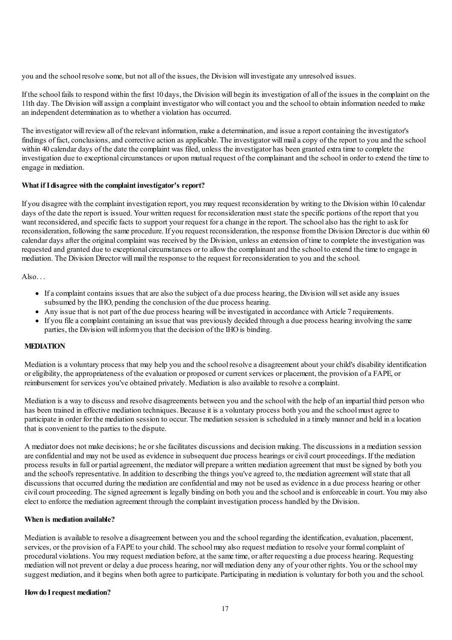you and the school resolve some, but not all of the issues, the Division will investigate any unresolved issues.

If the school fails to respond within the first 10 days, the Division will begin its investigation ofall of the issues in the complaint on the 11th day. The Division willassign a complaint investigator who willcontact you and the school to obtain information needed to make an independent determination as to whethera violation has occurred.

The investigator will review all of the relevant information, make a determination, and issue a report containing the investigator's findings of fact, conclusions, and corrective action as applicable. The investigator will mail a copy of the report to you and the school within 40 calendar days of the date the complaint was filed, unless the investigator has been granted extra time to complete the investigation due to exceptional circumstances or upon mutual request of the complainant and the school in order to extend the time to engage in mediation.

## **What ifIdisagree with the complaint investigator's report?**

If you disagree with the complaint investigation report, you may request reconsideration by writing to the Division within 10 calendar days of the date the report is issued. Your written request for reconsideration must state the specific portions of the report that you want reconsidered, and specific facts to support your request for a change in the report. The school also has the right to ask for reconsideration, following the same procedure. If you request reconsideration, the response fromthe Division Director is due within 60 calendar days after the original complaint was received by the Division, unless an extension of time to complete the investigation was requested and granted due to exceptional circumstances or to allow the complainant and the school to extend the time to engage in mediation. The Division Director willmail the response to the request for reconsideration to you and the school.

Also...

- Ifa complaint contains issues that are also the subject ofa due process hearing, the Division willset aside any issues subsumed by the IHO, pending the conclusion of the due process hearing.
- Any issue that is not part of the due process hearing will be investigated in accordance with Article 7 requirements.
- If you file a complaint containing an issue that was previously decided through a due process hearing involving the same parties, the Division will inform you that the decision of the IHO is binding.

## **MEDIATION**

Mediation is a voluntary process that may help you and the school resolve a disagreement about yourchild's disability identification oreligibility, the appropriateness of the evaluation or proposed orcurrent services or placement, the provision ofa FAPE, or reimbursement forservices you've obtained privately. Mediation is also available to resolve a complaint.

Mediation is a way to discuss and resolve disagreements between you and the schoolwith the help ofan impartial third person who has been trained in effective mediation techniques. Because it is a voluntary process both you and the school must agree to participate in order for the mediation session to occur. The mediation session is scheduled in a timely mannerand held in a location that is convenient to the parties to the dispute.

A mediator does not make decisions; he orshe facilitates discussions and decision making. The discussions in a mediation session are confidentialand may not be used as evidence in subsequent due process hearings orcivilcourt proceedings. If the mediation process results in full or partialagreement, the mediator will prepare a written mediation agreement that must be signed by both you and the school's representative. In addition to describing the things you've agreed to, the mediation agreement willstate that all discussions that occurred during the mediation are confidentialand may not be used as evidence in a due process hearing or other civilcourt proceeding. The signed agreement is legally binding on both you and the schooland is enforceable in court. You may also elect to enforce the mediation agreement through the complaint investigation process handled by the Division.

## **When is mediation available?**

Mediation is available to resolve a disagreement between you and the school regarding the identification, evaluation, placement, services, or the provision of a FAPE to your child. The school may also request mediation to resolve your formal complaint of procedural violations. You may request mediation before,at the same time, orafter requesting a due process hearing. Requesting mediation will not prevent or delay a due process hearing, nor willmediation deny any of your other rights. You or the schoolmay suggest mediation, and it begins when both agree to participate. Participating in mediation is voluntary for both you and the school.

#### **Howdo Irequest mediation?**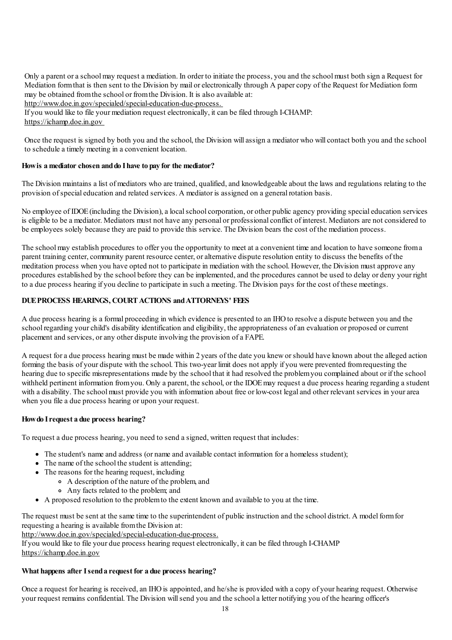Only a parent ora schoolmay request a mediation. In order to initiate the process, you and the schoolmust both sign a Request for Mediation formthat is then sent to the Division by mail orelectronically through A papercopy of the Request for Mediation form may be obtained fromthe school or fromthe Division. It is also available at:

http://www.doe.in.gov/specialed/special-education-due-process.

If you would like to file your mediation request electronically, it can be filed through I-CHAMP: https://ichamp.doe.in.gov

Once the request is signed by both you and the school, the Division will assign a mediator who will contact both you and the school to schedule a timely meeting in a convenient location.

## **Howis a mediator chosen anddo Ihave to pay for the mediator?**

The Division maintains a list of mediators who are trained, qualified, and knowledgeable about the laws and regulations relating to the provision ofspecialeducation and related services. A mediator is assigned on a general rotation basis.

No employee of IDOE (including the Division), a local school corporation, or other public agency providing special education services is eligible to be a mediator. Mediators must not have any personal or professional conflict of interest. Mediators are not considered to be employees solely because they are paid to provide this service. The Division bears the cost of the mediation process.

The schoolmay establish procedures to offer you the opportunity to meet at a convenient time and location to have someone froma parent training center,community parent resource center, oralternative dispute resolution entity to discuss the benefits of the meditation process when you have opted not to participate in mediation with the school. However, the Division must approve any procedures established by the school before they can be implemented,and the procedures cannot be used to delay or deny your right to a due process hearing if you decline to participate in such a meeting. The Division pays for the cost of these meetings.

## **DUEPROCESS HEARINGS, COURTACTIONS andATTORNEYS' FEES**

A due process hearing is a formal proceeding in which evidence is presented to an IHOto resolve a dispute between you and the school regarding your child's disability identification and eligibility, the appropriateness of an evaluation or proposed or current placement and services, orany other dispute involving the provision ofa FAPE.

A request fora due process hearing must be made within 2 years of the date you kneworshould have known about the alleged action forming the basis of your dispute with the school. This two-year limit does not apply if you were prevented fromrequesting the hearing due to specific misrepresentations made by the school that it had resolved the problemyou complained about or if the school withheld pertinent information from you. Only a parent, the school, or the IDOE may request a due process hearing regarding a student with a disability. The school must provide you with information about free or low-cost legal and other relevant services in your area when you file a due process hearing or upon your request.

#### **Howdo Irequest a due process hearing?**

To request a due process hearing, you need to send a signed, written request that includes:

- The student's name and address (or name and available contact information for a homeless student);
- The name of the school the student is attending:
- The reasons for the hearing request, including
	- A description of the nature of the problem,and
	- Any facts related to the problem; and
- A proposed resolution to the problemto the extent known and available to you at the time.

The request must be sent at the same time to the superintendent of public instruction and the school district. A model formfor requesting a hearing is available fromthe Division at:

http://www.doe.in.gov/specialed/special-education-due-process.

If you would like to file your due process hearing request electronically, it can be filed through I-CHAMP https://ichamp.doe.in.gov

## **What happens after Isenda request for a due process hearing?**

Once a request for hearing is received, an IHO is appointed, and he/she is provided with a copy of your hearing request. Otherwise your request remains confidential. The Division willsend you and the schoola letter notifying you of the hearing officer's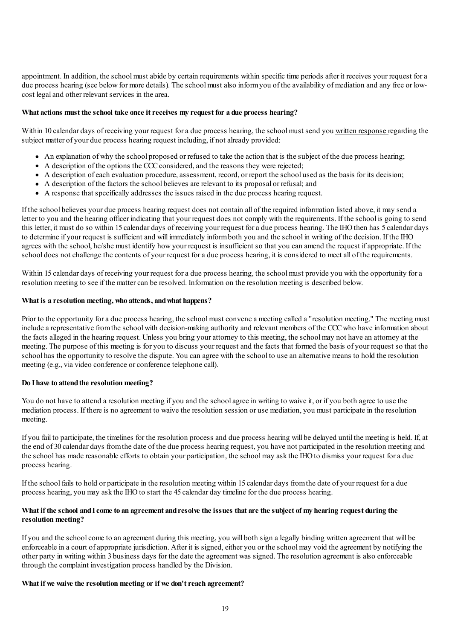appointment. In addition, the school must abide by certain requirements within specific time periods after it receives your request for a due process hearing (see below for more details). The school must also inform you of the availability of mediation and any free or lowcost legaland other relevant services in the area.

#### **What actions must the school take once itreceives my request for a due process hearing?**

Within 10 calendar days of receiving your request for a due process hearing, the school must send you written response regarding the subject matter of your due process hearing request including, if not already provided:

- An explanation of why the school proposed or refused to take the action that is the subject of the due process hearing;
- A description of the options the CCCconsidered,and the reasons they were rejected;
- A description of each evaluation procedure, assessment, record, or report the school used as the basis for its decision;
- A description of the factors the school believes are relevant to its proposal or refusal; and
- A response that specifically addresses the issues raised in the due process hearing request.

If the school believes your due process hearing request does not contain all of the required information listed above, it may send a letter to you and the hearing officer indicating that your request does not comply with the requirements. If the school is going to send this letter, it must do so within 15 calendar days of receiving your request fora due process hearing. The IHOthen has 5 calendar days to determine if your request is sufficient and will immediately informboth you and the school in writing of the decision. If the IHO agrees with the school, he/she must identify howyour request is insufficient so that you can amend the request ifappropriate. If the school does not challenge the contents of your request fora due process hearing, it is considered to meet all of the requirements.

Within 15 calendar days of receiving your request for a due process hearing, the school must provide you with the opportunity for a resolution meeting to see if the matter can be resolved. Information on the resolution meeting is described below.

#### **What is a resolution meeting, who attends, andwhat happens?**

Prior to the opportunity for a due process hearing, the school must convene a meeting called a "resolution meeting." The meeting must include a representative from the school with decision-making authority and relevant members of the CCC who have information about the facts alleged in the hearing request. Unless you bring yourattorney to this meeting, the schoolmay not have an attorney at the meeting. The purpose of this meeting is for you to discuss your request and the facts that formed the basis of your request so that the school has the opportunity to resolve the dispute. You can agree with the school to use an alternative means to hold the resolution meeting (e.g., via video conference or conference telephone call).

#### **Do Ihave to attendthe resolution meeting?**

You do not have to attend a resolution meeting if you and the school agree in writing to waive it, or if you both agree to use the mediation process. If there is no agreement to waive the resolution session or use mediation, you must participate in the resolution meeting.

If you fail to participate, the timelines for the resolution process and due process hearing will be delayed until the meeting is held. If,at the end of 30 calendar days fromthe date of the due process hearing request, you have not participated in the resolution meeting and the school has made reasonable efforts to obtain your participation, the school may ask the IHO to dismiss your request for a due process hearing.

If the school fails to hold or participate in the resolution meeting within 15 calendar days fromthe date of your request fora due process hearing, you may ask the IHO to start the 45 calendar day timeline for the due process hearing.

## What if the school and I come to an agreement and resolve the issues that are the subject of my hearing request during the **resolution meeting?**

If you and the schoolcome to an agreement during this meeting, you will both sign a legally binding written agreement that will be enforceable in a court of appropriate jurisdiction. After it is signed, either you or the school may void the agreement by notifying the other party in writing within 3 business days for the date the agreement was signed. The resolution agreement is also enforceable through the complaint investigation process handled by the Division.

#### **What if we waive the resolution meeting or if we don'treach agreement?**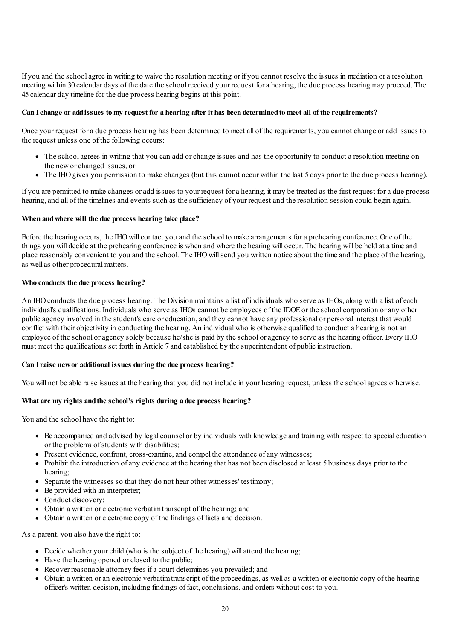If you and the schoolagree in writing to waive the resolution meeting or if you cannot resolve the issues in mediation ora resolution meeting within 30 calendar days of the date the school received your request fora hearing, the due process hearing may proceed. The 45 calendar day timeline for the due process hearing begins at this point.

## Can I change or add issues to my request for a hearing after it has been determined to meet all of the requirements?

Once your request fora due process hearing has been determined to meet all of the requirements, you cannot change oradd issues to the request unless one of the following occurs:

- The school agrees in writing that you can add or change issues and has the opportunity to conduct a resolution meeting on the neworchanged issues, or
- The IHO gives you permission to make changes (but this cannot occur within the last 5 days prior to the due process hearing).

If you are permitted to make changes oradd issues to your request fora hearing, it may be treated as the first request fora due process hearing, and all of the timelines and events such as the sufficiency of your request and the resolution session could begin again.

## **When andwhere will the due process hearing take place?**

Before the hearing occurs, the IHO will contact you and the school to make arrangements for a prehearing conference. One of the things you will decide at the prehearing conference is when and where the hearing will occur. The hearing will be held at a time and place reasonably convenient to you and the school. The IHOwillsend you written notice about the time and the place of the hearing, as well as other procedural matters.

#### **Who conducts the due process hearing?**

An IHOconducts the due process hearing. The Division maintains a list of individuals who serve as IHOs,along with a list ofeach individual's qualifications. Individuals who serve as IHOs cannot be employees of the IDOE or the school corporation or any other public agency involved in the student's care oreducation,and they cannot have any professional or personal interest that would conflict with their objectivity in conducting the hearing. An individual who is otherwise qualified to conduct a hearing is not an employee of the school or agency solely because he/she is paid by the school or agency to serve as the hearing officer. Every IHO must meet the qualifications set forth in Article 7 and established by the superintendent of public instruction.

#### **Can Iraise newor additional issues during the due process hearing?**

You will not be able raise issues at the hearing that you did not include in your hearing request, unless the school agrees otherwise.

#### **What are my rights andthe school's rights during a due process hearing?**

You and the school have the right to:

- Be accompanied and advised by legalcounsel or by individuals with knowledge and training with respect to specialeducation or the problems of students with disabilities;
- Present evidence, confront, cross-examine, and compel the attendance of any witnesses;
- Prohibit the introduction ofany evidence at the hearing that has not been disclosed at least 5 business days prior to the hearing;
- Separate the witnesses so that they do not hear other witnesses' testimony;
- Be provided with an interpreter:
- Conduct discovery:
- Obtain a written orelectronic verbatimtranscript of the hearing; and
- Obtain a written orelectronic copy of the findings of facts and decision.

As a parent, you also have the right to:

- Decide whether your child (who is the subject of the hearing) will attend the hearing;
- Have the hearing opened or closed to the public;
- Recover reasonable attorney fees if a court determines you prevailed; and
- Obtain a written or an electronic verbatim transcript of the proceedings, as well as a written or electronic copy of the hearing officer's written decision, including findings of fact,conclusions,and orders without cost to you.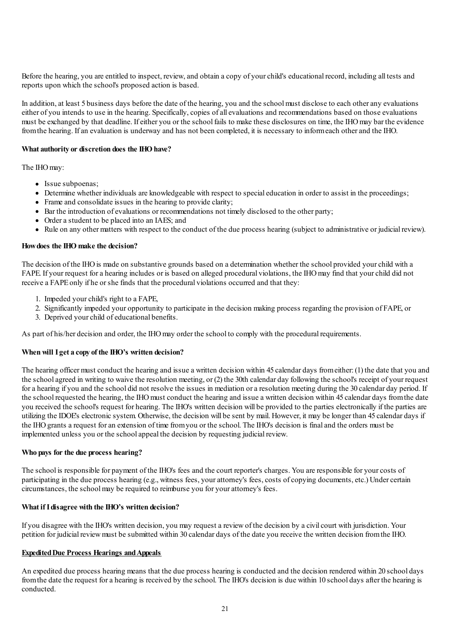Before the hearing, you are entitled to inspect, review, and obtain a copy of your child's educational record, including all tests and reports upon which the school's proposed action is based.

In addition, at least 5 business days before the date of the hearing, you and the school must disclose to each other any evaluations either of you intends to use in the hearing. Specifically, copies of all evaluations and recommendations based on those evaluations must be exchanged by that deadline. Ifeither you or the school fails to make these disclosures on time, the IHOmay bar the evidence from the hearing. If an evaluation is underway and has not been completed, it is necessary to informeach other and the IHO.

## **What authority or discretion does the IHOhave?**

The IHOmay:

- Issue subpoenas;
- Determine whether individuals are knowledgeable with respect to specialeducation in order to assist in the proceedings;
- Frame and consolidate issues in the hearing to provide clarity;
- Bar the introduction ofevaluations or recommendations not timely disclosed to the other party;
- Ordera student to be placed into an IAES; and
- Rule on any other matters with respect to the conduct of the due process hearing (subject to administrative or judicial review).

#### **Howdoes the IHO make the decision?**

The decision of the IHO is made on substantive grounds based on a determination whether the school provided your child with a FAPE. If your request for a hearing includes or is based on alleged procedural violations, the IHO may find that your child did not receive a FAPEonly if he orshe finds that the procedural violations occurred and that they:

- 1. Impeded yourchild's right to a FAPE,
- 2. Significantly impeded your opportunity to participate in the decision making process regarding the provision of FAPE, or
- 3. Deprived your child of educational benefits.

As part of his/her decision and order, the IHOmay order the school to comply with the procedural requirements.

#### **When will I get a copy of the IHO's written decision?**

The hearing officer must conduct the hearing and issue a written decision within 45 calendar days from either: (1) the date that you and the schoolagreed in writing to waive the resolution meeting, or (2) the 30th calendar day following the school's receipt of your request fora hearing if you and the school did not resolve the issues in mediation ora resolution meeting during the 30 calendar day period. If the school requested the hearing, the IHOmust conduct the hearing and issue a written decision within 45 calendar days fromthe date you received the school's request for hearing. The IHO's written decision will be provided to the parties electronically if the parties are utilizing the IDOE's electronic system. Otherwise, the decision will be sent by mail. However, it may be longer than 45 calendar days if the IHOgrants a request foran extension of time fromyou or the school. The IHO's decision is finaland the orders must be implemented unless you or the schoolappeal the decision by requesting judicial review.

#### **Who pays for the due process hearing?**

The school is responsible for payment of the IHO's fees and the court reporter's charges. You are responsible for yourcosts of participating in the due process hearing (e.g., witness fees, your attorney's fees, costs of copying documents, etc.) Under certain circumstances, the schoolmay be required to reimburse you for yourattorney's fees.

#### **What ifIdisagree with the IHO's written decision?**

If you disagree with the IHO's written decision, you may request a reviewof the decision by a civilcourt with jurisdiction. Your petition for judicial reviewmust be submitted within 30 calendar days of the date you receive the written decision fromthe IHO.

#### **Expedited Due Process Hearings and Appeals**

An expedited due process hearing means that the due process hearing is conducted and the decision rendered within 20 school days fromthe date the request fora hearing is received by the school. The IHO's decision is due within 10 school days after the hearing is conducted.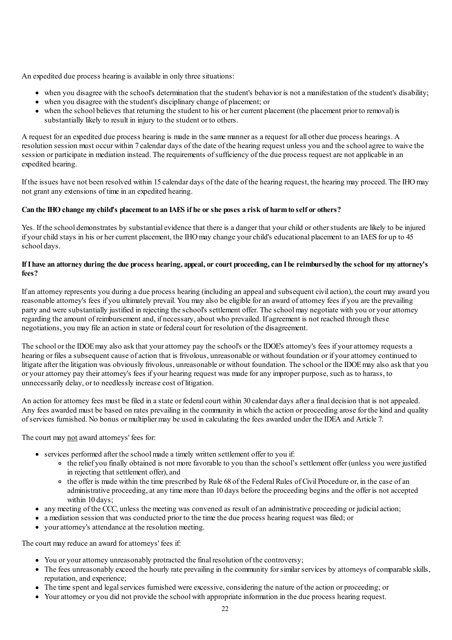An expedited due process hearing is available in only three situations:

- when you disagree with the school's determination that the student's behavior is not a manifestation of the student's disability;
- when you disagree with the student's disciplinary change of placement; or
- when the school believes that returning the student to his or her current placement (the placement prior to removal) is substantially likely to result in injury to the student or to others.

A request foran expedited due process hearing is made in the same manneras a request forall other due process hearings. A resolution session must occur within 7 calendar days of the date of the hearing request unless you and the schoolagree to waive the session or participate in mediation instead. The requirements of sufficiency of the due process request are not applicable in an expedited hearing.

If the issues have not been resolved within 15 calendar days of the date of the hearing request, the hearing may proceed. The IHOmay not grant any extensions of time in an expedited hearing.

## Can the IHO change my child's placement to an IAES if he or she poses a risk of harm to self or others?

Yes. If the school demonstrates by substantial evidence that there is a danger that your child or other students are likely to be injured if yourchild stays in his or hercurrent placement, the IHOmay change yourchild's educational placement to an IAES for up to 45 school days.

## If I have an attorney during the due process hearing, appeal, or court proceeding, can I be reimbursed by the school for my attorney's **fees?**

Ifan attorney represents you during a due process hearing (including an appealand subsequent civilaction), the court may award you reasonable attorney's fees if you ultimately prevail. You may also be eligible foran award ofattorney fees if you are the prevailing party and were substantially justified in rejecting the school's settlement offer. The school may negotiate with you or your attorney regarding the amount of reimbursement and, if necessary, about who prevailed. If agreement is not reached through these negotiations, you may file an action in state or federal court for resolution of the disagreement.

The school or the IDOEmay also ask that yourattorney pay the school's or the IDOE's attorney's fees if yourattorney requests a hearing or files a subsequent cause of action that is frivolous, unreasonable or without foundation or if your attorney continued to litigate after the litigation was obviously frivolous, unreasonable or without foundation. The school or the IDOEmay also ask that you or yourattorney pay theirattorney's fees if your hearing request was made forany improper purpose, such as to harass, to unnecessarily delay, or to needlessly increase cost of litigation.

An action for attorney fees must be filed in a state or federal court within 30 calendar days after a final decision that is not appealed. Any fees awarded must be based on rates prevailing in the community in which the action or proceeding arose for the kind and quality ofservices furnished. No bonus ormultipliermay be used in calculating the fees awarded under the IDEA and Article 7.

The court may not award attorneys' fees for:

- services performed after the school made a timely written settlement offer to you if:
	- the relief you finally obtained is not more favorable to you than the school's settlement offer (unless you were justified in rejecting that settlement offer), and
	- <sup>o</sup> the offer is made within the time prescribed by Rule 68 of the Federal Rules of Civil Procedure or, in the case of an administrative proceeding, at any time more than 10 days before the proceeding begins and the offer is not accepted within 10 days:
- any meeting of the CCC, unless the meeting was convened as result of an administrative proceeding or judicial action;
- a mediation session that was conducted prior to the time the due process hearing request was filed; or
- yourattorney's attendance at the resolution meeting.

The court may reduce an award forattorneys' fees if:

- You or your attorney unreasonably protracted the final resolution of the controversy;
- The fees unreasonably exceed the hourly rate prevailing in the community for similar services by attorneys of comparable skills, reputation, and experience:
- The time spent and legal services furnished were excessive, considering the nature of the action or proceeding; or
- Your attorney or you did not provide the school with appropriate information in the due process hearing request.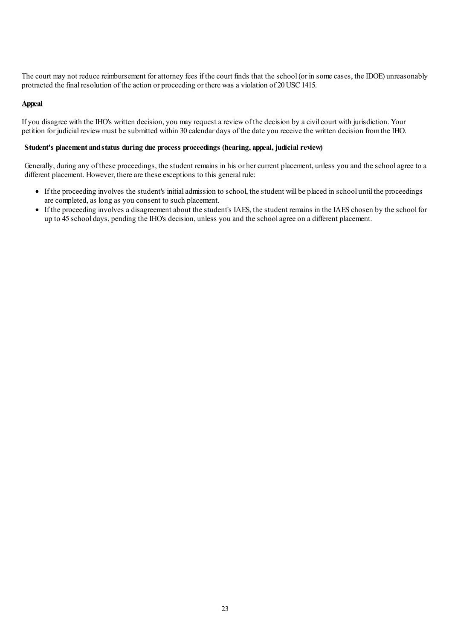The court may not reduce reimbursement forattorney fees if the court finds that the school (or in some cases, the IDOE) unreasonably protracted the final resolution of the action or proceeding or there was a violation of 20 USC 1415.

#### **Appeal**

If you disagree with the IHO's written decision, you may request a reviewof the decision by a civilcourt with jurisdiction. Your petition for judicial reviewmust be submitted within 30 calendar days of the date you receive the written decision fromthe IHO.

#### **Student's placement andstatus during due process proceedings (hearing, appeal, judicial review)**

Generally, during any of these proceedings, the student remains in his or her current placement, unless you and the school agree to a different placement. However, there are these exceptions to this general rule:

- If the proceeding involves the student's initialadmission to school, the student will be placed in school until the proceedings are completed,as long as you consent to such placement.
- If the proceeding involves a disagreement about the student's IAES, the student remains in the IAES chosen by the school for up to 45 school days, pending the IHO's decision, unless you and the schoolagree on a different placement.